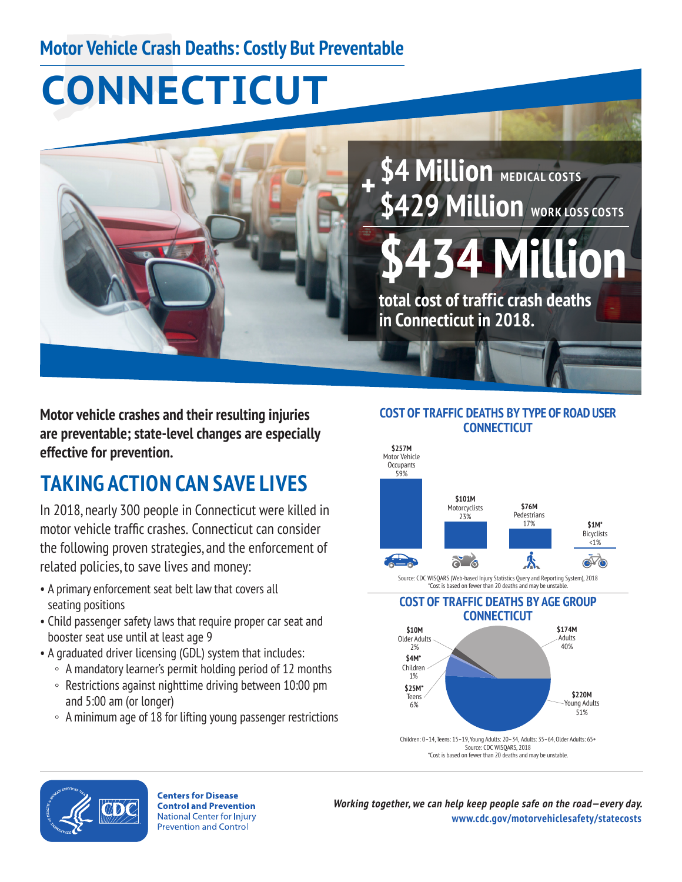### **Motor Vehicle Crash Deaths: Costly But Preventable**

# **CONNECTICUT**



**\$4 Million** MEDICAL COSTS **\$429 Million** WORK LOSS COSTS

**Million** 

**total cost of traffic crash deaths in Connecticut in 2018.** 

**Motor vehicle crashes and their resulting injuries are preventable; state-level changes are especially effective for prevention.** 

# **TAKING ACTION CAN SAVE LIVES**

 motor vehicle traffic crashes. Connecticut can consider In 2018, nearly 300 people in Connecticut were killed in the following proven strategies, and the enforcement of related policies, to save lives and money:

- A primary enforcement seat belt law that covers all seating positions
- Child passenger safety laws that require proper car seat and booster seat use until at least age 9
- A graduated driver licensing (GDL) system that includes:
	- A mandatory learner's permit holding period of 12 months
	- Restrictions against nighttime driving between 10:00 pm and 5:00 am (or longer)
	- A minimum age of 18 for lifting young passenger restrictions

#### **COST OF TRAFFIC DEATHS BY TYPE OF ROAD USER CONNECTICUT**



Source: CDC WISQARS (Web-based Injury Statistics Query and Reporting System), 2018 \*Cost is based on fewer than 20 deaths and may be unstable.

**COST OF TRAFFIC DEATHS BY AGE GROUP CONNECTICUT**





**Centers for Disease Control and Prevention National Center for Injury Prevention and Control** 

**Working together, we can help keep people safe on the road—every day. [www.cdc.gov/motorvehiclesafety/statecosts](http://www.cdc.gov/motorvehiclesafety/statecosts)**